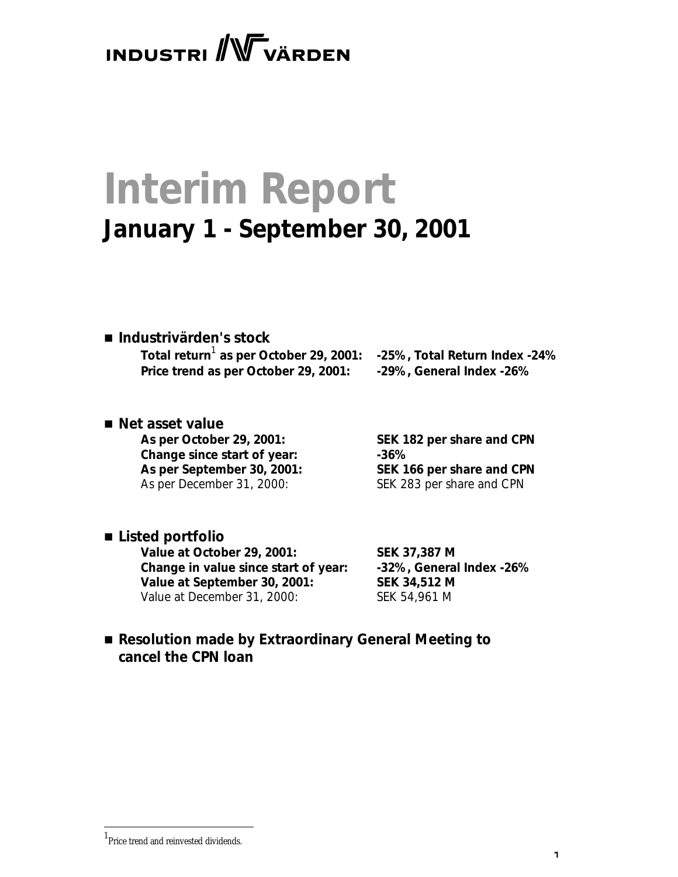**INDUSTRI** WVÄRDEN

# **Interim Report January 1 - September 30, 2001**

# ■ *Industrivärden's stock*

**Total return**<sup>1</sup>  **as per October 29, 2001: -25%, Total Return Index -24% Price trend as per October 29, 2001: -29%, General Index -26%**

# ■ *Net asset value*

**As per October 29, 2001: SEK 182 per share and CPN Change since start of year: -36% As per September 30, 2001: SEK 166 per share and CPN** As per December 31, 2000: SEK 283 per share and CPN

# ■ *Listed portfolio*

**Value at October 29, 2001: SEK 37,387 M Change in value since start of year: -32%, General Index -26% Value at September 30, 2001: SEK 34,512 M** Value at December 31, 2000: SEK 54,961 M

# ■ Resolution made by Extraordinary General Meeting to *cancel the CPN loan*

.

<sup>1</sup> Price trend and reinvested dividends.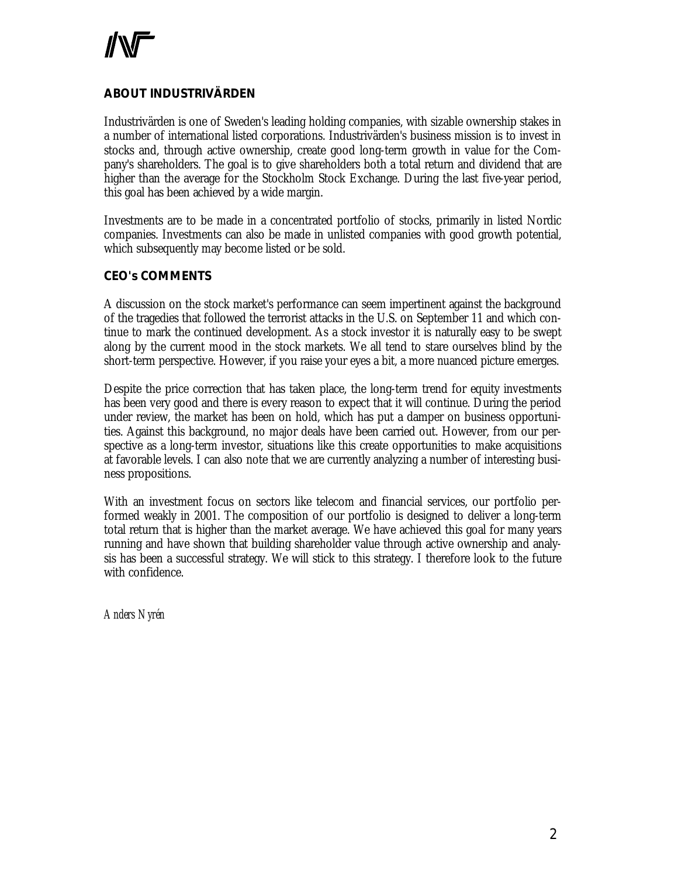# **ABOUT INDUSTRIVÄRDEN**

Industrivärden is one of Sweden's leading holding companies, with sizable ownership stakes in a number of international listed corporations. Industrivärden's business mission is to invest in stocks and, through active ownership, create good long-term growth in value for the Company's shareholders. The goal is to give shareholders both a total return and dividend that are higher than the average for the Stockholm Stock Exchange. During the last five-year period, this goal has been achieved by a wide margin.

Investments are to be made in a concentrated portfolio of stocks, primarily in listed Nordic companies. Investments can also be made in unlisted companies with good growth potential, which subsequently may become listed or be sold.

# **CEO's COMMENTS**

A discussion on the stock market's performance can seem impertinent against the background of the tragedies that followed the terrorist attacks in the U.S. on September 11 and which continue to mark the continued development. As a stock investor it is naturally easy to be swept along by the current mood in the stock markets. We all tend to stare ourselves blind by the short-term perspective. However, if you raise your eyes a bit, a more nuanced picture emerges.

Despite the price correction that has taken place, the long-term trend for equity investments has been very good and there is every reason to expect that it will continue. During the period under review, the market has been on hold, which has put a damper on business opportunities. Against this background, no major deals have been carried out. However, from our perspective as a long-term investor, situations like this create opportunities to make acquisitions at favorable levels. I can also note that we are currently analyzing a number of interesting business propositions.

With an investment focus on sectors like telecom and financial services, our portfolio performed weakly in 2001. The composition of our portfolio is designed to deliver a long-term total return that is higher than the market average. We have achieved this goal for many years running and have shown that building shareholder value through active ownership and analysis has been a successful strategy. We will stick to this strategy. I therefore look to the future with confidence.

*Anders Nyrén*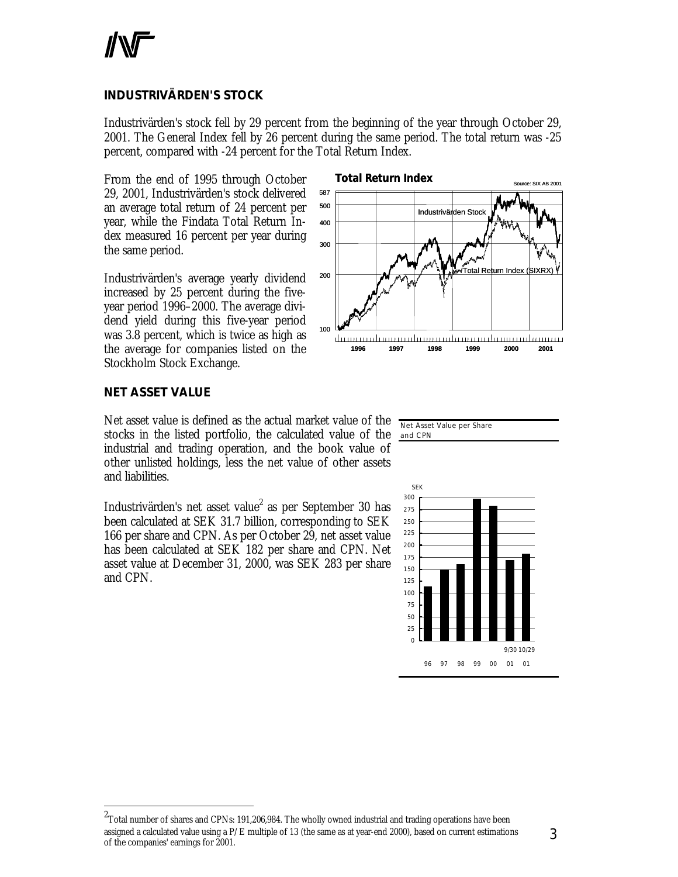# **INDUSTRIVÄRDEN'S STOCK**

Industrivärden's stock fell by 29 percent from the beginning of the year through October 29, 2001. The General Index fell by 26 percent during the same period. The total return was -25 percent, compared with -24 percent for the Total Return Index.

From the end of 1995 through October 29, 2001, Industrivärden's stock delivered an average total return of 24 percent per year, while the Findata Total Return Index measured 16 percent per year during the same period.

Industrivärden's average yearly dividend increased by 25 percent during the fiveyear period 1996–2000. The average dividend yield during this five-year period was 3.8 percent, which is twice as high as the average for companies listed on the Stockholm Stock Exchange.



# **NET ASSET VALUE**

1

Net asset value is defined as the actual market value of the stocks in the listed portfolio, the calculated value of the industrial and trading operation, and the book value of other unlisted holdings, less the net value of other assets and liabilities.

Industrivärden's net asset value<sup>2</sup> as per September 30 has been calculated at SEK 31.7 billion, corresponding to SEK 166 per share and CPN. As per October 29, net asset value has been calculated at SEK 182 per share and CPN. Net asset value at December 31, 2000, was SEK 283 per share and CPN.





 $^{2}$ Total number of shares and CPNs: 191,206,984. The wholly owned industrial and trading operations have been assigned a calculated value using a P/E multiple of 13 (the same as at year-end 2000), based on current estimations of the companies' earnings for 2001.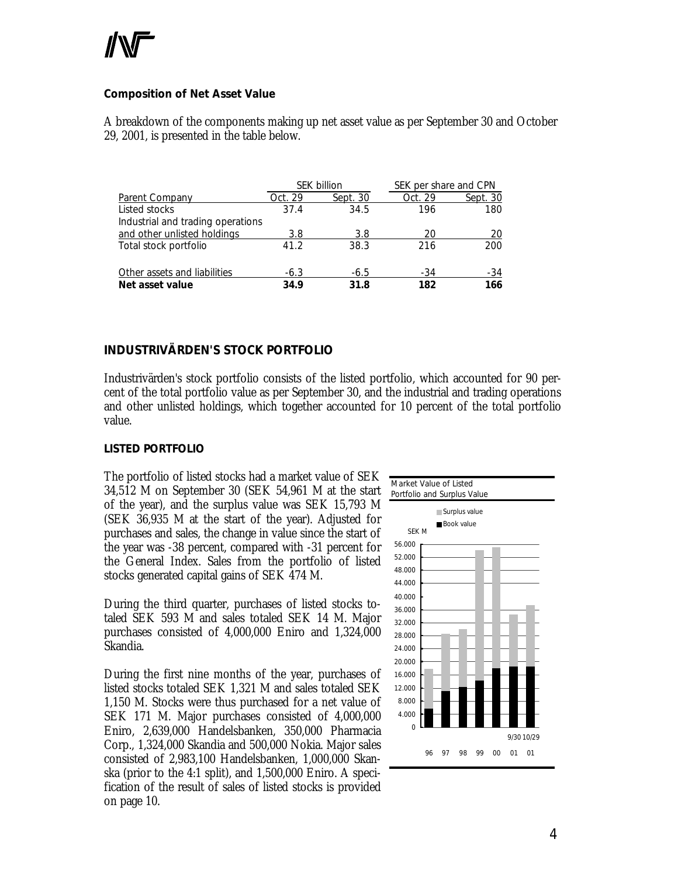# **Composition of Net Asset Value**

A breakdown of the components making up net asset value as per September 30 and October 29, 2001, is presented in the table below.

|                                   |         | <b>SEK billion</b> | SEK per share and CPN |          |
|-----------------------------------|---------|--------------------|-----------------------|----------|
| Parent Company                    | Oct. 29 | Sept. 30           | Oct. 29               | Sept. 30 |
| Listed stocks                     | 37.4    | 34.5               | 196                   | 180      |
| Industrial and trading operations |         |                    |                       |          |
| and other unlisted holdings       | 3.8     | 3.8                | 20                    | 20       |
| Total stock portfolio             | 41.2    | 38.3               | 216                   | 200      |
| Other assets and liabilities      | $-6.3$  | $-6.5$             | $-34$                 | -34      |
| Net asset value                   | 34.9    | 31.8               | 182                   | 166      |

# **INDUSTRIVÄRDEN'S STOCK PORTFOLIO**

Industrivärden's stock portfolio consists of the listed portfolio, which accounted for 90 percent of the total portfolio value as per September 30, and the industrial and trading operations and other unlisted holdings, which together accounted for 10 percent of the total portfolio value.

#### *LISTED PORTFOLIO*

The portfolio of listed stocks had a market value of SEK 34,512 M on September 30 (SEK 54,961 M at the start of the year), and the surplus value was SEK 15,793 M (SEK 36,935 M at the start of the year). Adjusted for purchases and sales, the change in value since the start of the year was -38 percent, compared with -31 percent for the General Index. Sales from the portfolio of listed stocks generated capital gains of SEK 474 M.

During the third quarter, purchases of listed stocks totaled SEK 593 M and sales totaled SEK 14 M. Major purchases consisted of 4,000,000 Eniro and 1,324,000 Skandia.

During the first nine months of the year, purchases of listed stocks totaled SEK 1,321 M and sales totaled SEK 1,150 M. Stocks were thus purchased for a net value of SEK 171 M. Major purchases consisted of 4,000,000 Eniro, 2,639,000 Handelsbanken, 350,000 Pharmacia Corp., 1,324,000 Skandia and 500,000 Nokia. Major sales consisted of 2,983,100 Handelsbanken, 1,000,000 Skanska (prior to the 4:1 split), and 1,500,000 Eniro. A specification of the result of sales of listed stocks is provided on page 10.

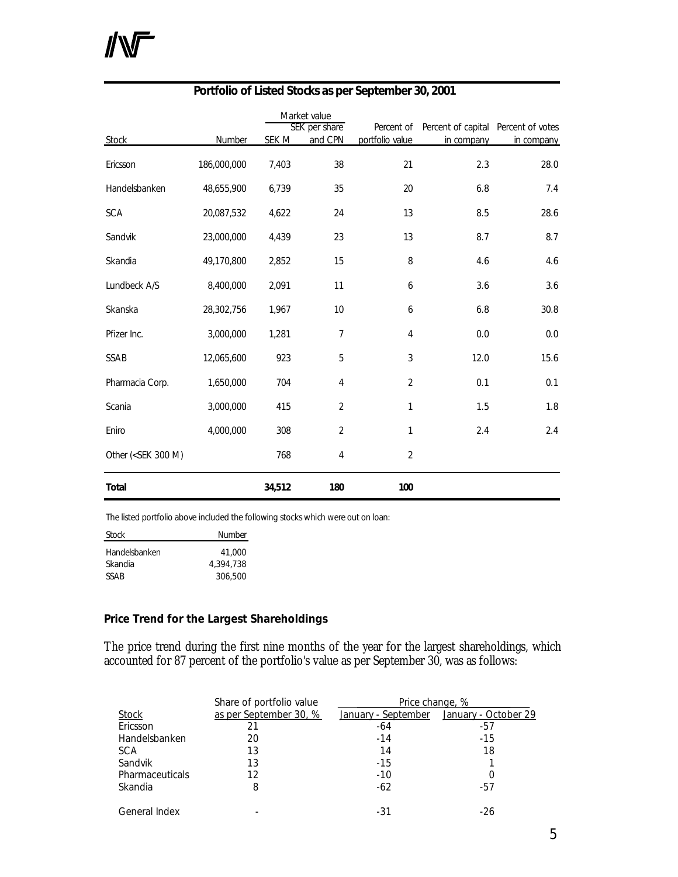# **NF**

|                                                                                                                            |             |        | Market value             |                               |                                                   |            |  |  |
|----------------------------------------------------------------------------------------------------------------------------|-------------|--------|--------------------------|-------------------------------|---------------------------------------------------|------------|--|--|
| <b>Stock</b>                                                                                                               | Number      | SEK M  | SEK per share<br>and CPN | Percent of<br>portfolio value | Percent of capital Percent of votes<br>in company | in company |  |  |
|                                                                                                                            |             |        |                          |                               |                                                   |            |  |  |
| Ericsson                                                                                                                   | 186,000,000 | 7,403  | 38                       | 21                            | 2.3                                               | 28.0       |  |  |
| Handelsbanken                                                                                                              | 48,655,900  | 6,739  | 35                       | 20                            | 6.8                                               | 7.4        |  |  |
| <b>SCA</b>                                                                                                                 | 20,087,532  | 4,622  | 24                       | 13                            | 8.5                                               | 28.6       |  |  |
| Sandvik                                                                                                                    | 23,000,000  | 4,439  | 23                       | 13                            | 8.7                                               | 8.7        |  |  |
| Skandia                                                                                                                    | 49,170,800  | 2,852  | 15                       | 8                             | 4.6                                               | 4.6        |  |  |
| Lundbeck A/S                                                                                                               | 8,400,000   | 2,091  | 11                       | 6                             | 3.6                                               | 3.6        |  |  |
| Skanska                                                                                                                    | 28,302,756  | 1,967  | 10                       | 6                             | 6.8                                               | 30.8       |  |  |
| Pfizer Inc.                                                                                                                | 3,000,000   | 1,281  | 7                        | 4                             | 0.0                                               | 0.0        |  |  |
| SSAB                                                                                                                       | 12,065,600  | 923    | 5                        | 3                             | 12.0                                              | 15.6       |  |  |
| Pharmacia Corp.                                                                                                            | 1,650,000   | 704    | 4                        | $\overline{2}$                | 0.1                                               | 0.1        |  |  |
| Scania                                                                                                                     | 3,000,000   | 415    | $\overline{2}$           | 1                             | 1.5                                               | 1.8        |  |  |
| Eniro                                                                                                                      | 4,000,000   | 308    | $\overline{2}$           | 1                             | 2.4                                               | 2.4        |  |  |
| Other ( <sek 300="" m)<="" td=""><td></td><td>768</td><td>4</td><td><math>\overline{c}</math></td><td></td><td></td></sek> |             | 768    | 4                        | $\overline{c}$                |                                                   |            |  |  |
| <b>Total</b>                                                                                                               |             | 34,512 | 180                      | 100                           |                                                   |            |  |  |

# **Portfolio of Listed Stocks as per September 30, 2001**

The listed portfolio above included the following stocks which were out on loan:

| Stock         | <b>Number</b> |
|---------------|---------------|
| Handelsbanken | 41,000        |
| Skandia       | 4.394.738     |
| <b>SSAR</b>   | 306,500       |

# **Price Trend for the Largest Shareholdings**

The price trend during the first nine months of the year for the largest shareholdings, which accounted for 87 percent of the portfolio's value as per September 30, was as follows:

|                 | Share of portfolio value | Price change, %     |                      |
|-----------------|--------------------------|---------------------|----------------------|
| <b>Stock</b>    | as per September 30, %   | January - September | January - October 29 |
| Ericsson        | 21                       | $-64$               | -57                  |
| Handelsbanken   | 20                       | $-14$               | $-15$                |
| <b>SCA</b>      | 13                       | 14                  | 18                   |
| Sandvik         | 13                       | $-15$               |                      |
| Pharmaceuticals | 12                       | $-10$               |                      |
| Skandia         | 8                        | $-62$               | -57                  |
| General Index   |                          | -31                 | -26                  |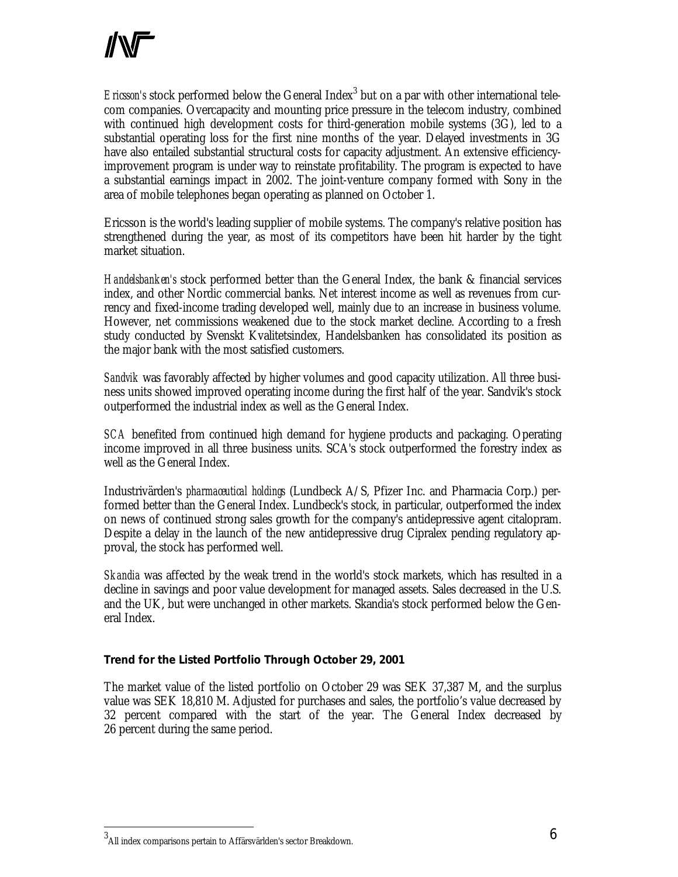Ericsson's stock performed below the General Index<sup>3</sup> but on a par with other international telecom companies. Overcapacity and mounting price pressure in the telecom industry, combined with continued high development costs for third-generation mobile systems (3G), led to a substantial operating loss for the first nine months of the year. Delayed investments in 3G have also entailed substantial structural costs for capacity adjustment. An extensive efficiencyimprovement program is under way to reinstate profitability. The program is expected to have a substantial earnings impact in 2002. The joint-venture company formed with Sony in the area of mobile telephones began operating as planned on October 1.

Ericsson is the world's leading supplier of mobile systems. The company's relative position has strengthened during the year, as most of its competitors have been hit harder by the tight market situation.

*Handelsbanken's* stock performed better than the General Index, the bank & financial services index, and other Nordic commercial banks. Net interest income as well as revenues from currency and fixed-income trading developed well, mainly due to an increase in business volume. However, net commissions weakened due to the stock market decline. According to a fresh study conducted by Svenskt Kvalitetsindex, Handelsbanken has consolidated its position as the major bank with the most satisfied customers.

*Sandvik* was favorably affected by higher volumes and good capacity utilization. All three business units showed improved operating income during the first half of the year. Sandvik's stock outperformed the industrial index as well as the General Index.

*SCA* benefited from continued high demand for hygiene products and packaging. Operating income improved in all three business units. SCA's stock outperformed the forestry index as well as the General Index.

Industrivärden's *pharmaceutical holdings* (Lundbeck A/S, Pfizer Inc. and Pharmacia Corp.) performed better than the General Index. Lundbeck's stock, in particular, outperformed the index on news of continued strong sales growth for the company's antidepressive agent citalopram. Despite a delay in the launch of the new antidepressive drug Cipralex pending regulatory approval, the stock has performed well.

*Skandia* was affected by the weak trend in the world's stock markets, which has resulted in a decline in savings and poor value development for managed assets. Sales decreased in the U.S. and the UK, but were unchanged in other markets. Skandia's stock performed below the General Index.

# **Trend for the Listed Portfolio Through October 29, 2001**

The market value of the listed portfolio on October 29 was SEK 37,387 M, and the surplus value was SEK 18,810 M. Adjusted for purchases and sales, the portfolio's value decreased by 32 percent compared with the start of the year. The General Index decreased by 26 percent during the same period.

.

 $^3$ All index comparisons pertain to Affärsvärlden's sector Breakdown.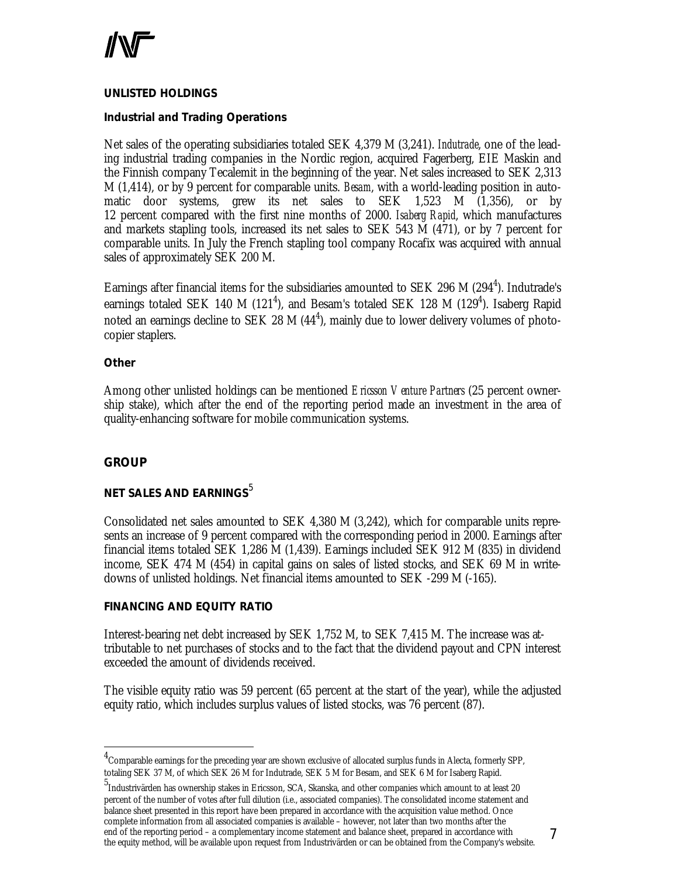

#### *UNLISTED HOLDINGS*

#### **Industrial and Trading Operations**

Net sales of the operating subsidiaries totaled SEK 4,379 M (3,241). *Indutrade*, one of the leading industrial trading companies in the Nordic region, acquired Fagerberg, EIE Maskin and the Finnish company Tecalemit in the beginning of the year. Net sales increased to SEK 2,313 M (1,414), or by 9 percent for comparable units. *Besam*, with a world-leading position in automatic door systems, grew its net sales to SEK 1,523 M (1,356), or by 12 percent compared with the first nine months of 2000. *Isaberg Rapid*, which manufactures and markets stapling tools, increased its net sales to SEK 543 M (471), or by 7 percent for comparable units. In July the French stapling tool company Rocafix was acquired with annual sales of approximately SEK 200 M.

Earnings after financial items for the subsidiaries amounted to SEK 296 M (294<sup>4</sup>). Indutrade's earnings totaled SEK 140 M (121<sup>4</sup>), and Besam's totaled SEK 128 M (129<sup>4</sup>). Isaberg Rapid noted an earnings decline to SEK 28 M  $(44^4)$ , mainly due to lower delivery volumes of photocopier staplers.

#### **Other**

Among other unlisted holdings can be mentioned *Ericsson Venture Partners* (25 percent ownership stake), which after the end of the reporting period made an investment in the area of quality-enhancing software for mobile communication systems.

#### **GROUP**

1

# **NET SALES AND EARNINGS**<sup>5</sup>

Consolidated net sales amounted to SEK 4,380 M (3,242), which for comparable units represents an increase of 9 percent compared with the corresponding period in 2000. Earnings after financial items totaled SEK 1,286 M (1,439). Earnings included SEK 912 M (835) in dividend income, SEK 474 M (454) in capital gains on sales of listed stocks, and SEK 69 M in writedowns of unlisted holdings. Net financial items amounted to SEK -299 M (-165).

#### *FINANCING AND EQUITY RATIO*

Interest-bearing net debt increased by SEK 1,752 M, to SEK 7,415 M. The increase was attributable to net purchases of stocks and to the fact that the dividend payout and CPN interest exceeded the amount of dividends received.

The visible equity ratio was 59 percent (65 percent at the start of the year), while the adjusted equity ratio, which includes surplus values of listed stocks, was 76 percent (87).

 $^4$ Comparable earnings for the preceding year are shown exclusive of allocated surplus funds in Alecta, formerly SPP, totaling SEK 37 M, of which SEK 26 M for Indutrade, SEK 5 M for Besam, and SEK 6 M for Isaberg Rapid.

<sup>5</sup> Industrivärden has ownership stakes in Ericsson, SCA, Skanska, and other companies which amount to at least 20 percent of the number of votes after full dilution (i.e., associated companies). The consolidated income statement and balance sheet presented in this report have been prepared in accordance with the acquisition value method. Once complete information from all associated companies is available – however, not later than two months after the end of the reporting period – a complementary income statement and balance sheet, prepared in accordance with the equity method, will be available upon request from Industrivärden or can be obtained from the Company's website.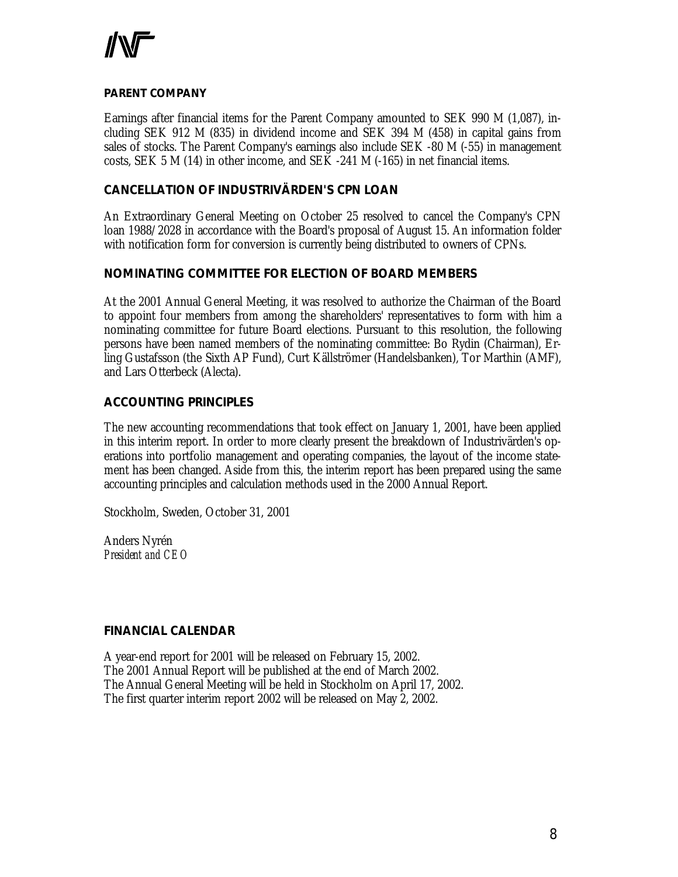

### *PARENT COMPANY*

Earnings after financial items for the Parent Company amounted to SEK 990 M (1,087), including SEK 912 M (835) in dividend income and SEK 394 M (458) in capital gains from sales of stocks. The Parent Company's earnings also include SEK -80 M (-55) in management costs, SEK 5 M (14) in other income, and SEK -241 M (-165) in net financial items.

### **CANCELLATION OF INDUSTRIVÄRDEN'S CPN LOAN**

An Extraordinary General Meeting on October 25 resolved to cancel the Company's CPN loan 1988/2028 in accordance with the Board's proposal of August 15. An information folder with notification form for conversion is currently being distributed to owners of CPNs.

# **NOMINATING COMMITTEE FOR ELECTION OF BOARD MEMBERS**

At the 2001 Annual General Meeting, it was resolved to authorize the Chairman of the Board to appoint four members from among the shareholders' representatives to form with him a nominating committee for future Board elections. Pursuant to this resolution, the following persons have been named members of the nominating committee: Bo Rydin (Chairman), Erling Gustafsson (the Sixth AP Fund), Curt Källströmer (Handelsbanken), Tor Marthin (AMF), and Lars Otterbeck (Alecta).

# **ACCOUNTING PRINCIPLES**

The new accounting recommendations that took effect on January 1, 2001, have been applied in this interim report. In order to more clearly present the breakdown of Industrivärden's operations into portfolio management and operating companies, the layout of the income statement has been changed. Aside from this, the interim report has been prepared using the same accounting principles and calculation methods used in the 2000 Annual Report.

Stockholm, Sweden, October 31, 2001

Anders Nyrén *President and CEO*

# **FINANCIAL CALENDAR**

A year-end report for 2001 will be released on February 15, 2002. The 2001 Annual Report will be published at the end of March 2002. The Annual General Meeting will be held in Stockholm on April 17, 2002. The first quarter interim report 2002 will be released on May 2, 2002.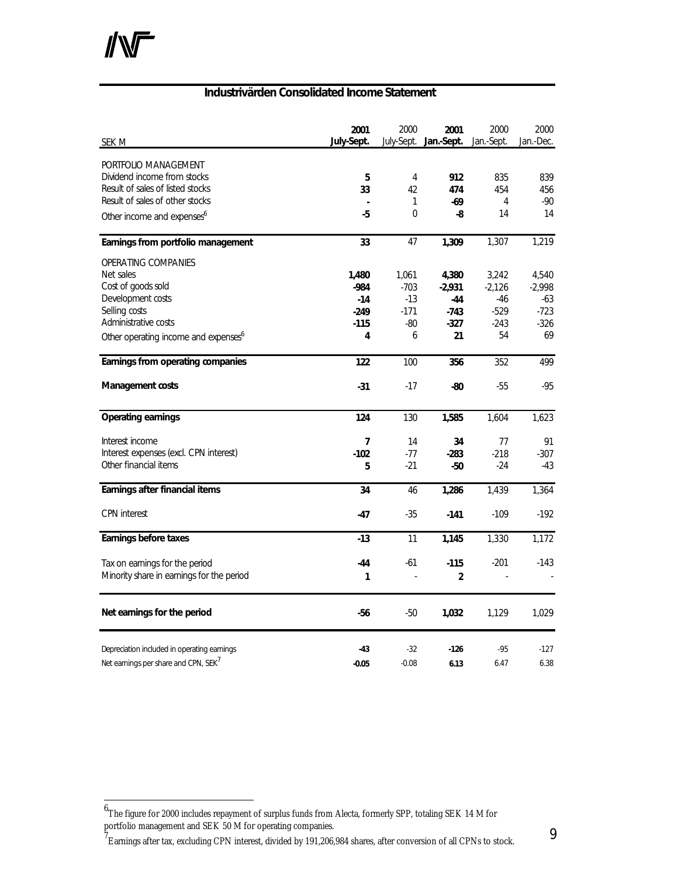<u>.</u>

### **Industrivärden Consolidated Income Statement**

| SEK M                                            | 2001<br>July-Sept. | 2000           | 2001<br>July-Sept. Jan.-Sept. | 2000<br>Jan.-Sept. | 2000<br>Jan.-Dec. |
|--------------------------------------------------|--------------------|----------------|-------------------------------|--------------------|-------------------|
|                                                  |                    |                |                               |                    |                   |
| PORTFOLIO MANAGEMENT                             |                    |                |                               |                    |                   |
| Dividend income from stocks                      | 5                  | $\overline{4}$ | 912                           | 835                | 839               |
| Result of sales of listed stocks                 | 33                 | 42             | 474                           | 454                | 456               |
| Result of sales of other stocks                  |                    | 1              | -69                           | 4                  | $-90$             |
| Other income and expenses <sup>6</sup>           | $-5$               | $\Omega$       | -8                            | 14                 | 14                |
| Earnings from portfolio management               | 33                 | 47             | 1,309                         | 1,307              | 1,219             |
| <b>OPERATING COMPANIES</b>                       |                    |                |                               |                    |                   |
| Net sales                                        | 1,480              | 1,061          | 4,380                         | 3,242              | 4,540             |
| Cost of goods sold                               | $-984$             | $-703$         | $-2,931$                      | $-2,126$           | $-2,998$          |
| Development costs                                | $-14$              | -13            | -44                           | -46                | -63               |
| Selling costs                                    | $-249$             | $-171$         | $-743$                        | $-529$             | $-723$            |
| Administrative costs                             | $-115$             | $-80$          | $-327$                        | $-243$             | $-326$            |
| Other operating income and expenses <sup>6</sup> | 4                  | 6              | 21                            | 54                 | 69                |
| Earnings from operating companies                | 122                | 100            | 356                           | 352                | 499               |
| Management costs                                 | $-31$              | $-17$          | -80                           | $-55$              | $-95$             |
| <b>Operating earnings</b>                        | 124                | 130            | 1,585                         | 1,604              | 1,623             |
|                                                  |                    |                |                               |                    |                   |
| Interest income                                  | $\overline{7}$     | 14             | 34                            | 77                 | 91                |
| Interest expenses (excl. CPN interest)           | $-102$             | -77            | $-283$                        | $-218$             | $-307$            |
| Other financial items                            | 5                  | $-21$          | -50                           | $-24$              | $-43$             |
| Earnings after financial items                   | 34                 | 46             | 1,286                         | 1,439              | 1,364             |
| <b>CPN</b> interest                              | -47                | -35            | $-141$                        | $-109$             | $-192$            |
| Earnings before taxes                            | $-13$              | 11             | 1,145                         | 1,330              | 1,172             |
| Tax on earnings for the period                   | -44                | -61            | $-115$                        | $-201$             | $-143$            |
| Minority share in earnings for the period        | 1                  |                | $\overline{2}$                |                    |                   |
| Net earnings for the period                      | -56                | -50            | 1,032                         | 1,129              | 1,029             |
| Depreciation included in operating earnings      | -43                | $-32$          | $-126$                        | $-95$              | $-127$            |
| Net earnings per share and CPN, SEK <sup>7</sup> | $-0.05$            | $-0.08$        | 6.13                          | 6.47               | 6.38              |
|                                                  |                    |                |                               |                    |                   |

 $^7$ Earnings after tax, excluding CPN interest, divided by 191,206,984 shares, after conversion of all CPNs to stock.

 $^6$ The figure for 2000 includes repayment of surplus funds from Alecta, formerly SPP, totaling SEK 14 M for portfolio management and SEK 50 M for operating companies.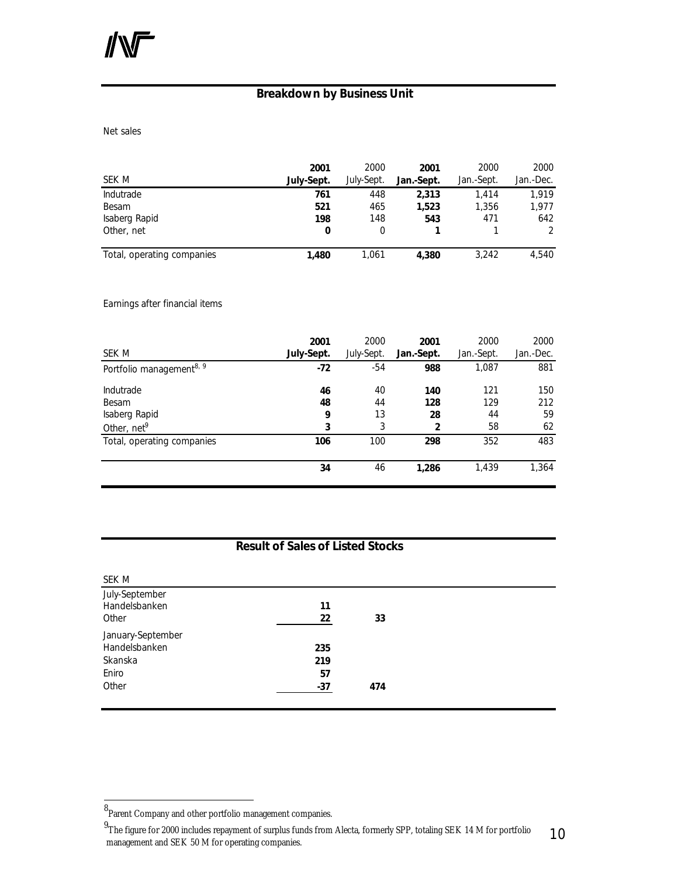# **Breakdown by Business Unit**

Net sales

| SEK M                      | 2001<br>July-Sept. | 2000<br>July-Sept. | 2001<br>Jan.-Sept. | 2000<br>Jan.-Sept. | 2000<br>Jan.-Dec. |
|----------------------------|--------------------|--------------------|--------------------|--------------------|-------------------|
| Indutrade                  | 761                | 448                | 2.313              | 1.414              | 1.919             |
| Besam                      | 521                | 465                | 1,523              | 1,356              | 1,977             |
| Isaberg Rapid              | 198                | 148                | 543                | 471                | 642               |
| Other, net                 | 0                  | 0                  |                    |                    |                   |
| Total, operating companies | 1,480              | 1.061              | 4.380              | 3,242              | 4.540             |

Earnings after financial items

| SEK M                                | 2001<br>July-Sept. | 2000<br>July-Sept. | 2001<br>Jan.-Sept. | 2000<br>Jan.-Sept. | 2000<br>Jan.-Dec. |
|--------------------------------------|--------------------|--------------------|--------------------|--------------------|-------------------|
| Portfolio management <sup>8, 9</sup> | -72                | $-54$              | 988                | 1,087              | 881               |
| <b>Indutrade</b>                     | 46                 | 40                 | 140                | 121                | 150               |
| Besam                                | 48                 | 44                 | 128                | 129                | 212               |
| Isaberg Rapid                        | 9                  | 13                 | 28                 | 44                 | 59                |
| Other, net <sup>9</sup>              | 3                  | 3                  | $\overline{2}$     | 58                 | 62                |
| Total, operating companies           | 106                | 100                | 298                | 352                | 483               |
|                                      | 34                 | 46                 | 1,286              | 1,439              | 1,364             |

# **Result of Sales of Listed Stocks**

| SEK M             |       |     |  |
|-------------------|-------|-----|--|
| July-September    |       |     |  |
| Handelsbanken     | 11    |     |  |
| Other             | 22    | 33  |  |
| January-September |       |     |  |
| Handelsbanken     | 235   |     |  |
| Skanska           | 219   |     |  |
| Eniro             | 57    |     |  |
| Other             | $-37$ | 474 |  |
|                   |       |     |  |

<u>.</u>

<sup>8&</sup>lt;br>Parent Company and other portfolio management companies.

<sup>10</sup> <sup>9</sup>The figure for 2000 includes repayment of surplus funds from Alecta, formerly SPP, totaling SEK 14 M for portfolio management and SEK 50 M for operating companies.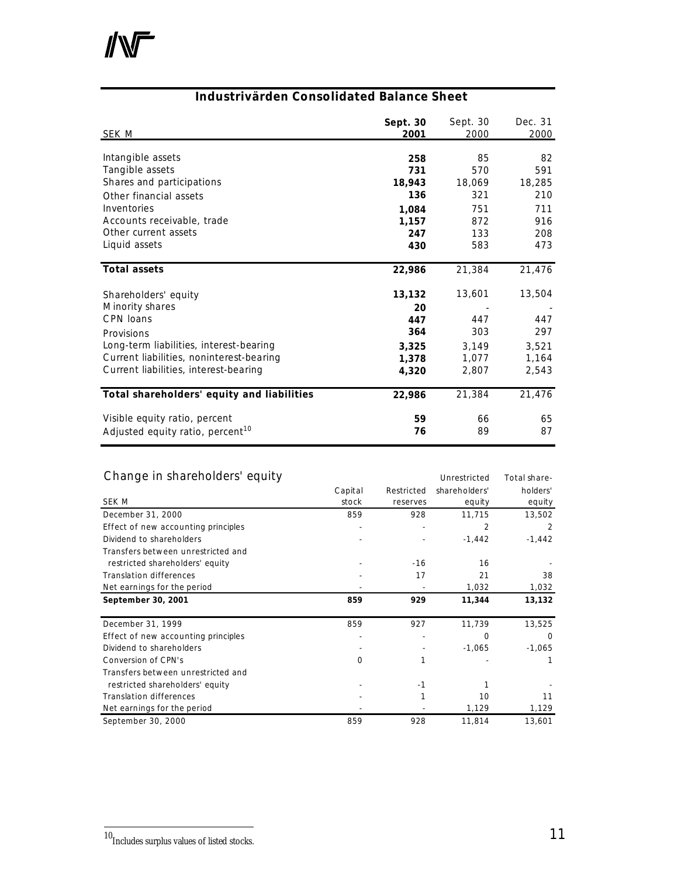# $\mathbb{N}$

# **Industrivärden Consolidated Balance Sheet**

| <u>SEK M</u>                                 | Sept. 30<br>2001 | Sept. 30<br>2000 | Dec. 31<br>2000 |
|----------------------------------------------|------------------|------------------|-----------------|
| Intangible assets                            | 258              | 85               | 82              |
| Tangible assets                              | 731              | 570              | 591             |
| Shares and participations                    | 18,943           | 18,069           | 18,285          |
| Other financial assets                       | 136              | 321              | 210             |
| Inventories                                  | 1,084            | 751              | 711             |
| Accounts receivable, trade                   | 1,157            | 872              | 916             |
| Other current assets                         | 247              | 133              | 208             |
| Liquid assets                                | 430              | 583              | 473             |
| <b>Total assets</b>                          | 22,986           | 21,384           | 21,476          |
| Shareholders' equity                         | 13,132           | 13,601           | 13,504          |
| Minority shares                              | 20               |                  |                 |
| CPN loans                                    | 447              | 447              | 447             |
| Provisions                                   | 364              | 303              | 297             |
| Long-term liabilities, interest-bearing      | 3,325            | 3,149            | 3,521           |
| Current liabilities, noninterest-bearing     | 1,378            | 1,077            | 1,164           |
| Current liabilities, interest-bearing        | 4,320            | 2,807            | 2,543           |
| Total shareholders' equity and liabilities   | 22,986           | 21,384           | 21,476          |
| Visible equity ratio, percent                | 59               | 66               | 65              |
| Adjusted equity ratio, percent <sup>10</sup> | 76               | 89               | 87              |

# Change in shareholders' equity example that the unrestricted Total share-

|                                     | Capital | Restricted | shareholders' | holders' |
|-------------------------------------|---------|------------|---------------|----------|
| SEK M                               | stock   | reserves   | equity        | equity   |
| December 31, 2000                   | 859     | 928        | 11,715        | 13,502   |
| Effect of new accounting principles |         |            | 2             | 2        |
| Dividend to shareholders            |         |            | $-1,442$      | $-1,442$ |
| Transfers between unrestricted and  |         |            |               |          |
| restricted shareholders' equity     |         | $-16$      | 16            |          |
| <b>Translation differences</b>      |         | 17         | 21            | 38       |
| Net earnings for the period         |         |            | 1,032         | 1,032    |
| September 30, 2001                  | 859     | 929        | 11,344        | 13,132   |
| December 31, 1999                   | 859     | 927        | 11,739        | 13,525   |
| Effect of new accounting principles |         |            | $\Omega$      | $\Omega$ |
| Dividend to shareholders            |         |            | $-1,065$      | $-1,065$ |
| Conversion of CPN's                 | 0       |            |               |          |
| Transfers between unrestricted and  |         |            |               |          |
| restricted shareholders' equity     |         | $-1$       |               |          |
| <b>Translation differences</b>      |         |            | 10            | 11       |
| Net earnings for the period         |         |            | 1,129         | 1,129    |
| September 30, 2000                  | 859     | 928        | 11,814        | 13,601   |

1